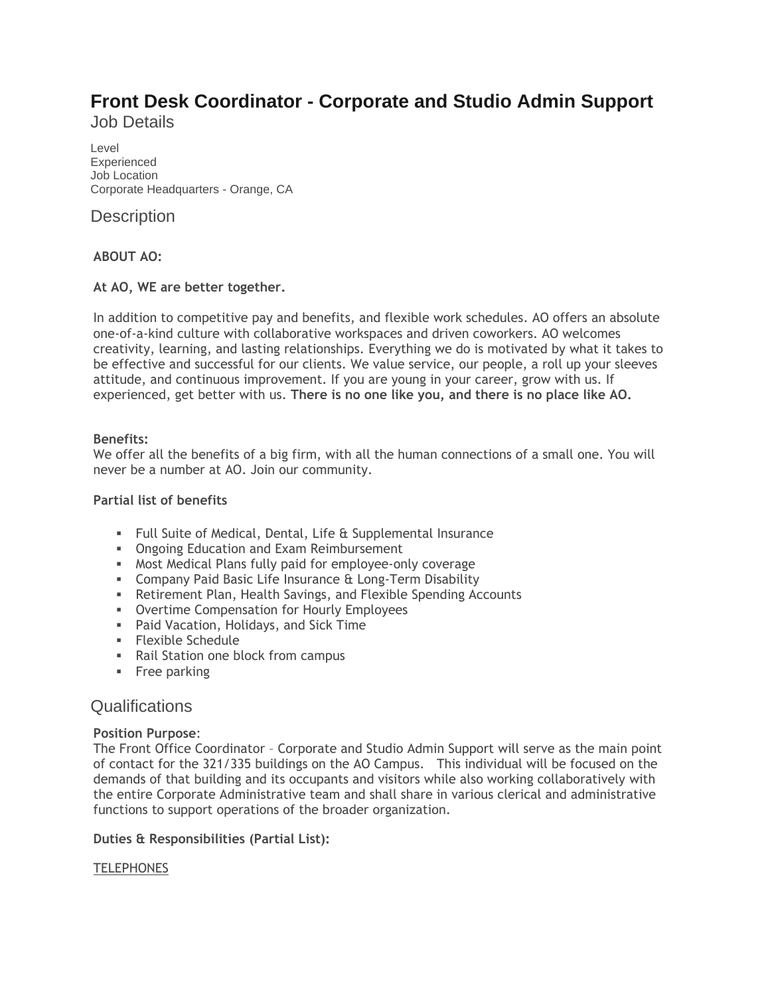# **Front Desk Coordinator - Corporate and Studio Admin Support** Job Details

Level Experienced Job Location Corporate Headquarters - Orange, CA

# **Description**

## **ABOUT AO:**

### **At AO, WE are better together.**

In addition to competitive pay and benefits, and flexible work schedules. AO offers an absolute one-of-a-kind culture with collaborative workspaces and driven coworkers. AO welcomes creativity, learning, and lasting relationships. Everything we do is motivated by what it takes to be effective and successful for our clients. We value service, our people, a roll up your sleeves attitude, and continuous improvement. If you are young in your career, grow with us. If experienced, get better with us. **There is no one like you, and there is no place like AO.**

### **Benefits:**

We offer all the benefits of a big firm, with all the human connections of a small one. You will never be a number at AO. Join our community.

### **Partial list of benefits**

- Full Suite of Medical, Dental, Life & Supplemental Insurance
- **Ongoing Education and Exam Reimbursement**
- Most Medical Plans fully paid for employee-only coverage
- **EXECOMPANY Paid Basic Life Insurance & Long-Term Disability**
- **EXECTER: A** Retirement Plan, Health Savings, and Flexible Spending Accounts
- **Overtime Compensation for Hourly Employees**
- Paid Vacation, Holidays, and Sick Time
- Flexible Schedule
- Rail Station one block from campus
- **•** Free parking

## **Qualifications**

### **Position Purpose**:

The Front Office Coordinator – Corporate and Studio Admin Support will serve as the main point of contact for the 321/335 buildings on the AO Campus. This individual will be focused on the demands of that building and its occupants and visitors while also working collaboratively with the entire Corporate Administrative team and shall share in various clerical and administrative functions to support operations of the broader organization.

### **Duties & Responsibilities (Partial List):**

### **TELEPHONES**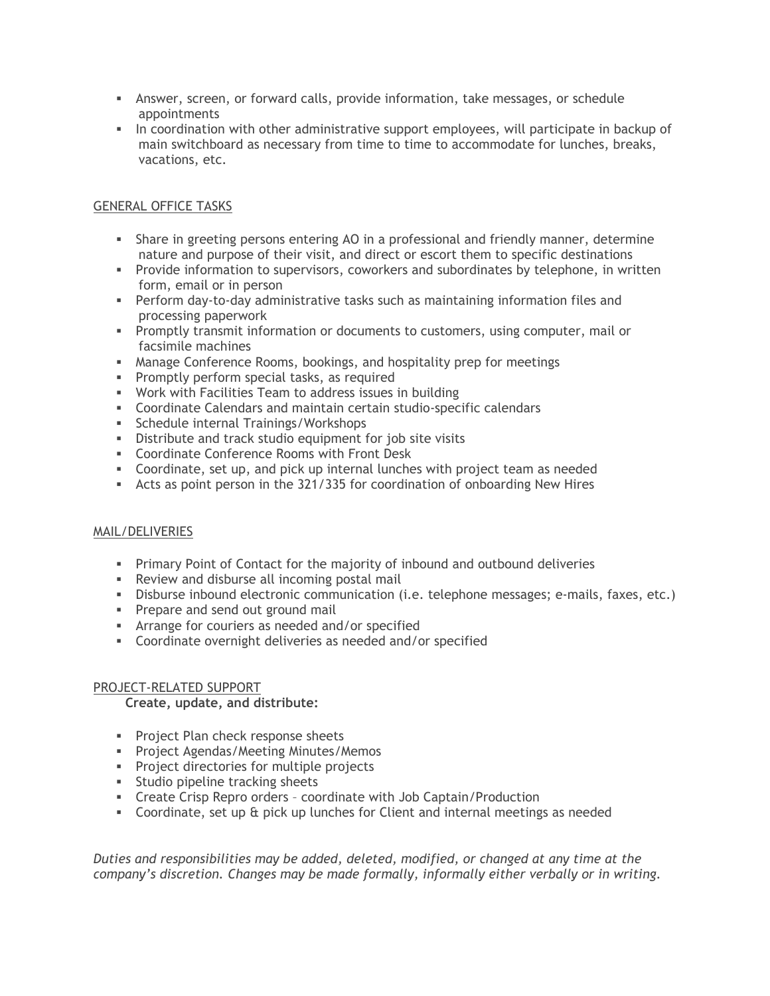- **EXP** Answer, screen, or forward calls, provide information, take messages, or schedule appointments
- **•** In coordination with other administrative support employees, will participate in backup of main switchboard as necessary from time to time to accommodate for lunches, breaks, vacations, etc.

### GENERAL OFFICE TASKS

- **•** Share in greeting persons entering AO in a professional and friendly manner, determine nature and purpose of their visit, and direct or escort them to specific destinations
- **•** Provide information to supervisors, coworkers and subordinates by telephone, in written form, email or in person
- **•** Perform day-to-day administrative tasks such as maintaining information files and processing paperwork
- **Promptly transmit information or documents to customers, using computer, mail or** facsimile machines
- Manage Conference Rooms, bookings, and hospitality prep for meetings
- **•** Promptly perform special tasks, as required
- Work with Facilities Team to address issues in building
- Coordinate Calendars and maintain certain studio-specific calendars
- Schedule internal Trainings/Workshops
- Distribute and track studio equipment for job site visits
- Coordinate Conference Rooms with Front Desk
- Coordinate, set up, and pick up internal lunches with project team as needed
- Acts as point person in the 321/335 for coordination of onboarding New Hires

### MAIL/DELIVERIES

- **•** Primary Point of Contact for the majority of inbound and outbound deliveries
- Review and disburse all incoming postal mail
- Disburse inbound electronic communication (i.e. telephone messages; e-mails, faxes, etc.)
- **•** Prepare and send out ground mail
- **EXP** Arrange for couriers as needed and/or specified
- Coordinate overnight deliveries as needed and/or specified

### PROJECT-RELATED SUPPORT

### **Create, update, and distribute:**

- **•** Project Plan check response sheets
- **•** Project Agendas/Meeting Minutes/Memos
- Project directories for multiple projects
- **EXECUTE:** Studio pipeline tracking sheets
- Create Crisp Repro orders coordinate with Job Captain/Production
- Coordinate, set up & pick up lunches for Client and internal meetings as needed

*Duties and responsibilities may be added, deleted, modified, or changed at any time at the company's discretion. Changes may be made formally, informally either verbally or in writing.*